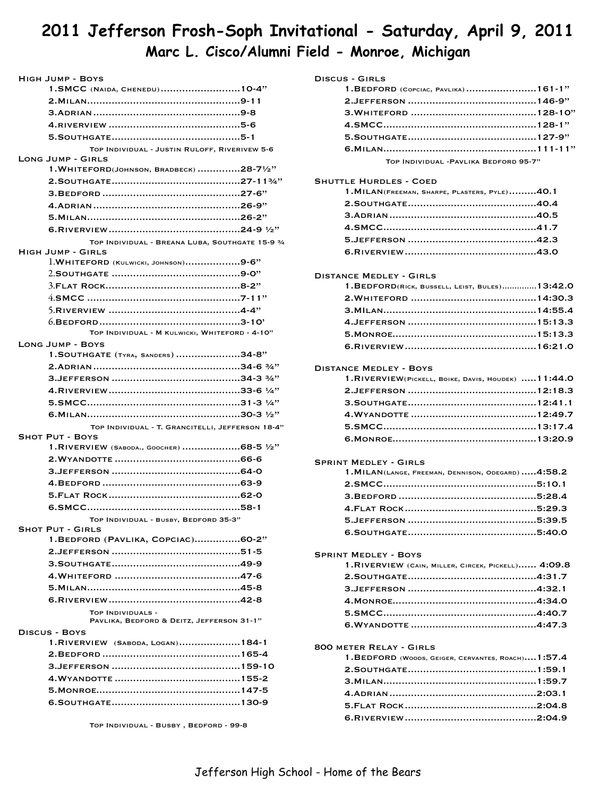# **2011 Jefferson Frosh-Soph Invitational - Saturday, April 9, 2011 Marc L. Cisco/Alumni Field - Monroe, Michigan**

| HIGH JUMP - BOYS                                               |
|----------------------------------------------------------------|
| 1.SMCC (NAIDA, CHENEDU)10-4"                                   |
|                                                                |
|                                                                |
|                                                                |
|                                                                |
| TOP INDIVIDUAL - JUSTIN RULOFF, RIVERIVEW 5-6                  |
| <b>LONG JUMP - GIRLS</b>                                       |
| $1. WHITEFORD(JOHNSON, BRADBECK)$ 28-71/2"                     |
|                                                                |
|                                                                |
|                                                                |
|                                                                |
|                                                                |
| TOP INDIVIDUAL - BREANA LUBA, SOUTHGATE 15-9 3/4               |
| <b>HIGH JUMP - GIRLS</b>                                       |
| $l.WHITERORD$ (KULWICKI, JOHNSON)9-6"                          |
|                                                                |
|                                                                |
|                                                                |
|                                                                |
| TOP INDIVIDUAL - M KULWICKI, WHITEFORD - 4-10"                 |
| <b>LONG JUMP - BOYS</b>                                        |
| 1. SOUTHGATE (TYRA, SANDERS) 34-8"                             |
|                                                                |
|                                                                |
|                                                                |
|                                                                |
|                                                                |
| TOP INDIVIDUAL - T. GRANCITELLI, JEFFERSON 18-4"               |
| <b>SHOT PUT - BOYS</b>                                         |
| 1. RIVERVIEW (SABODA., GOOCHER) 68-5 $1/2"$                    |
|                                                                |
|                                                                |
|                                                                |
|                                                                |
|                                                                |
| TOP INDIVIDUAL - BUSBY, BEDFORD 35-3"                          |
| <b>SHOT PUT - GIRLS</b>                                        |
| 1. BEDFORD (PAVLIKA, COPCIAC)60-2"                             |
|                                                                |
|                                                                |
|                                                                |
|                                                                |
|                                                                |
| TOP INDIVIDUALS -<br>PAVLIKA, BEDFORD & DEITZ, JEFFERSON 31-1" |
| DISCUS - BOYS                                                  |
| 1.RIVERVIEW (SABODA, LOGAN)184-1                               |
|                                                                |
|                                                                |
|                                                                |
|                                                                |
|                                                                |
|                                                                |

Top Individual - Busby , Bedford - 99-8

## Discus - Girls

| $1.BEDFORD$ (COPCIAC, PAVLIKA),161-1"  |  |
|----------------------------------------|--|
|                                        |  |
|                                        |  |
|                                        |  |
|                                        |  |
|                                        |  |
| TOP INDIVIDUAL - PAVLIKA BEDFORD 95-7" |  |

## Shuttle Hurdles - Coed

| 1. MILAN(FREEMAN, SHARPE, PLASTERS, PYLE)40.1 |  |
|-----------------------------------------------|--|
|                                               |  |
|                                               |  |
|                                               |  |
|                                               |  |
|                                               |  |

#### Distance Medley - Girls

| 1. BEDFORD(RICK, BUSSELL, LEIST, BULES) 13:42.0 |  |
|-------------------------------------------------|--|
|                                                 |  |
|                                                 |  |
|                                                 |  |
|                                                 |  |
|                                                 |  |

#### Distance Medley - Boys

| 1.RIVERVIEW(PICKELL, BOIKE, DAVIS, HOUDEK) 11:44.0 |  |
|----------------------------------------------------|--|
|                                                    |  |
|                                                    |  |
|                                                    |  |
|                                                    |  |
|                                                    |  |

#### Sprint Medley - Girls

| 1. MILAN(LANGE, FREEMAN, DENNISON, ODEGARD)  4:58.2 |  |
|-----------------------------------------------------|--|
|                                                     |  |
|                                                     |  |
|                                                     |  |
|                                                     |  |
|                                                     |  |

## Sprint Medley - Boys 1.RIVERVIEW (CAIN, MILLER, CIRCEK, PICKELL) ...... 4:09.8 2.Southgate 4:31.7 .......................................... 3.Jefferson 4:32.1 .......................................... 4.Monroe 4:34.0 ............................................... 5.SMCC 4:40.7 .................................................. 6.Wyandotte 4:47.3 .........................................

## 800 meter Relay - Girls

| 1.BEDFORD (WOODS, GEIGER, CERVANTES, ROACH) 1:57.4 |  |
|----------------------------------------------------|--|
|                                                    |  |
|                                                    |  |
|                                                    |  |
|                                                    |  |
|                                                    |  |